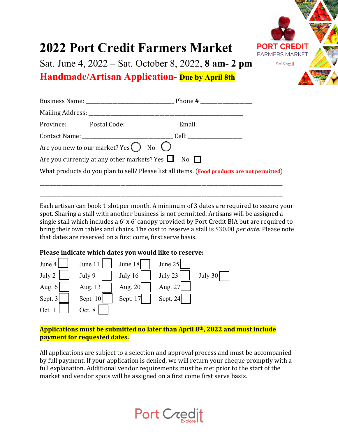

# **2022 Port Credit Farmers Market**

Sat. June 4, 2022 – Sat. October 8, 2022, **8 am- 2 pm**

**Handmade/Artisan Application- Due by April 8th**

| Are you new to our market? Yes $\bigcirc$ No $\bigcirc$                                     |  |
|---------------------------------------------------------------------------------------------|--|
| Are you currently at any other markets? Yes $\Box$ No $\Box$                                |  |
| What products do you plan to sell? Please list all items. (Food products are not permitted) |  |
|                                                                                             |  |

Each artisan can book 1 slot per month. A minimum of 3 dates are required to secure your spot. Sharing a stall with another business is not permitted. Artisans will be assigned a single stall which includes a 6' x 6' canopy provided by Port Credit BIA but are required to bring their own tables and chairs. The cost to reserve a stall is \$30.00 *per date*. Please note that dates are reserved on a first come, first serve basis.

\_\_\_\_\_\_\_\_\_\_\_\_\_\_\_\_\_\_\_\_\_\_\_\_\_\_\_\_\_\_\_\_\_\_\_\_\_\_\_\_\_\_\_\_\_\_\_\_\_\_\_\_\_\_\_\_\_\_\_\_\_\_\_\_\_\_\_\_\_\_\_\_\_\_\_\_\_\_\_\_\_\_\_\_\_\_\_\_\_\_\_\_\_\_\_\_\_\_\_

## **Please indicate which dates you would like to reserve:**



## **Applications must be submitted no later than April 8th, 2022 and must include payment for requested dates.**

All applications are subject to a selection and approval process and must be accompanied by full payment. If your application is denied, we will return your cheque promptly with a full explanation. Additional vendor requirements must be met prior to the start of the market and vendor spots will be assigned on a first come first serve basis.